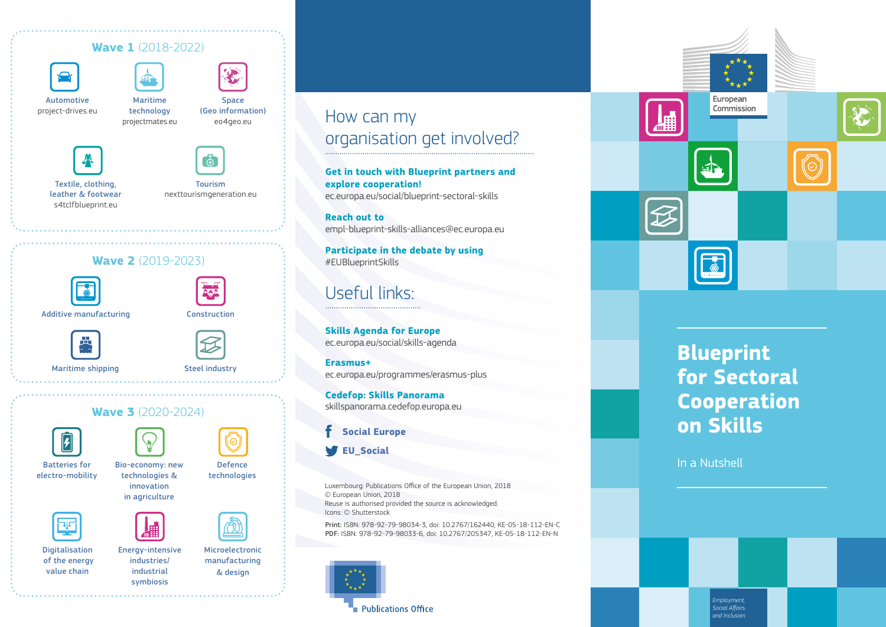#### **Wave 1** (2018-2022)



Automotive [project-drives.eu](https://www.project-drives.eu/)

Maritime technology [projectmates.eu](https://projectmates.eu/) Space (Geo information) [eo4geo.eu](http://www.eo4geo.eu/)



Textile, clothing, leather & footwear [s4tclfblueprint.eu](http://www.s4tclfblueprint.eu/)

Ą

Tourism [nexttourismgeneration.eu](https://nexttourismgeneration.eu/)







Construction





Maritime shipping and all the Steel industry



#### **Wave 3** (2020-2024)





symbiosis

Defence

Batteries for electro-mobility

Bio-economy: new technologies & innovation in agriculture





Digitalisation of the energy value chain

Energy-intensive industries/ industrial

Microelectronic manufacturing & design

### How can my organisation get involved?

**Get in touch with Blueprint partners and explore cooperation!**  [ec.europa.eu/social/blueprint-sectoral-skills](https://ec.europa.eu/social/main.jsp?catId=1415&langId=en)

**Reach out to**  [empl-blueprint-skills-alliances@ec.europa.eu](mailto:empl-blueprint-skills-alliances%40ec.europa.eu?subject=EMPL%20Blueprint%20Skills%20Alliances%20)

**Participate in the debate by using**  #EUBlueprintSkills

### Useful links:

**Skills Agenda for Europe** [ec.europa.eu/social/skills-agenda](https://ec.europa.eu/social/skills-agenda) 

**Erasmus+** [ec.europa.eu/programmes/erasmus-plus](http://ec.europa.eu/programmes/erasmus-plus)

**Cedefop: Skills Panorama**  [skillspanorama.cedefop.europa.eu](https://skillspanorama.cedefop.europa.eu)

#### **S[ocial Europe](http://www.facebook.com/socialeurope)**

**[EU\\_Social](http://twitter.com/EU_Social)**

Luxembourg: Publications Office of the European Union, 2018 © European Union, 2018 Reuse is authorised provided the source is acknowledged. Icons: © Shutterstock

Print: ISBN: 978-92-79-98034-3, doi: 10.2767/162440, KE-05-18-112-EN-C PDF: ISBN: 978-92-79-98033-6, doi: 10.2767/205347, KE-05-18-112-EN-N





# **Blueprint for Sectoral Cooperation on Skills**

In a Nutshell

*Employment, Social Affairs and Inclusion*